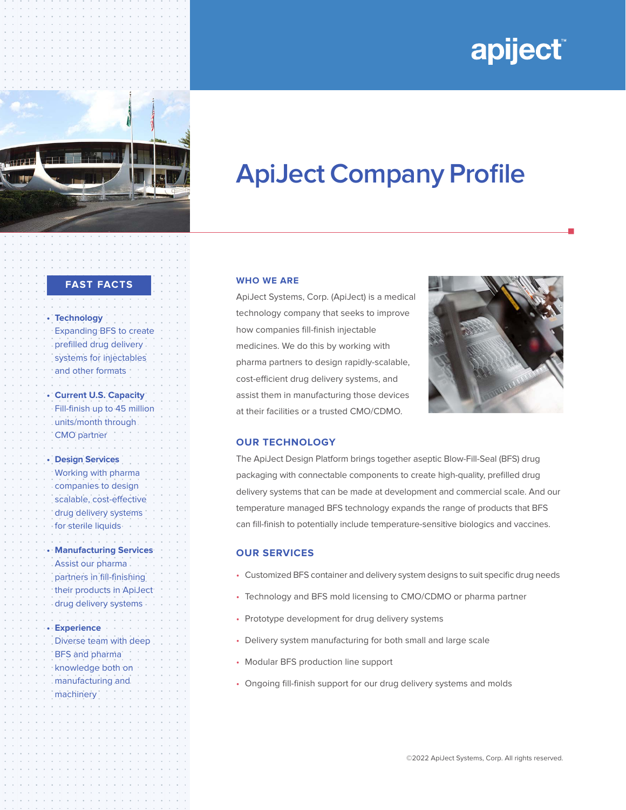# apiject®

n



# **ApiJect Company Profile**

### **WHO WE ARE**

ApiJect Systems, Corp. (ApiJect) is a medical technology company that seeks to improve how companies fill-finish injectable medicines. We do this by working with pharma partners to design rapidly-scalable, cost-efficient drug delivery systems, and assist them in manufacturing those devices at their facilities or a trusted CMO/CDMO.



# **OUR TECHNOLOGY**

The ApiJect Design Platform brings together aseptic Blow-Fill-Seal (BFS) drug packaging with connectable components to create high-quality, prefilled drug delivery systems that can be made at development and commercial scale. And our temperature managed BFS technology expands the range of products that BFS can fill-finish to potentially include temperature-sensitive biologics and vaccines.

# **OUR SERVICES**

- Customized BFS container and delivery system designs to suit specific drug needs
- Technology and BFS mold licensing to CMO/CDMO or pharma partner
- Prototype development for drug delivery systems
- Delivery system manufacturing for both small and large scale
- Modular BFS production line support
- Ongoing fill-finish support for our drug delivery systems and molds

©2022 ApiJect Systems, Corp. All rights reserved.

#### **FAST FACTS**

**• Technology** Expanding BFS to create prefilled drug delivery systems for injectables and other formats **• Current U.S. Capacity** Fill-finish up to 45 million units/month through CMO partner **• Design Services**  Working with pharma companies to design scalable, cost-effective drug delivery systems for sterile liquids **• Manufacturing Services** Assist our pharma partners in fill-finishing their products in ApiJect drug delivery systems **• Experience** Diverse team with deep BFS and pharma knowledge both on manufacturing and machinery